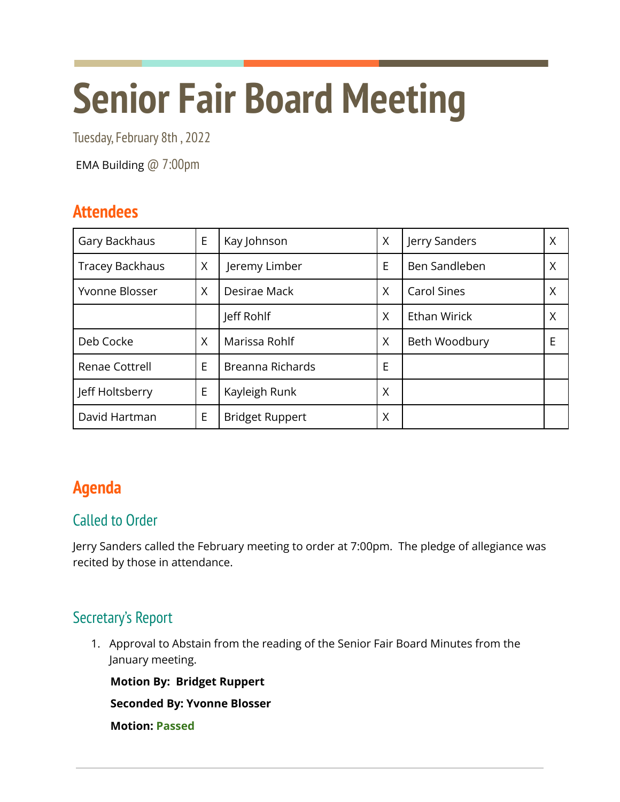# **Senior Fair Board Meeting**

Tuesday, February 8th , 2022

EMA Building @ 7:00pm

# **Attendees**

| Gary Backhaus          | E | Kay Johnson            | X | Jerry Sanders       | Χ |
|------------------------|---|------------------------|---|---------------------|---|
| <b>Tracey Backhaus</b> | Χ | Jeremy Limber          | E | Ben Sandleben       | Χ |
| Yvonne Blosser         | X | Desirae Mack           | X | <b>Carol Sines</b>  | Χ |
|                        |   | Jeff Rohlf             | X | <b>Ethan Wirick</b> | Χ |
| Deb Cocke              | X | Marissa Rohlf          | X | Beth Woodbury       | E |
| Renae Cottrell         | E | Breanna Richards       | E |                     |   |
| Jeff Holtsberry        | E | Kayleigh Runk          | Χ |                     |   |
| David Hartman          | E | <b>Bridget Ruppert</b> | Χ |                     |   |

# **Agenda**

# Called to Order

Jerry Sanders called the February meeting to order at 7:00pm. The pledge of allegiance was recited by those in attendance.

# Secretary's Report

1. Approval to Abstain from the reading of the Senior Fair Board Minutes from the January meeting.

**Motion By: Bridget Ruppert**

**Seconded By: Yvonne Blosser**

**Motion: Passed**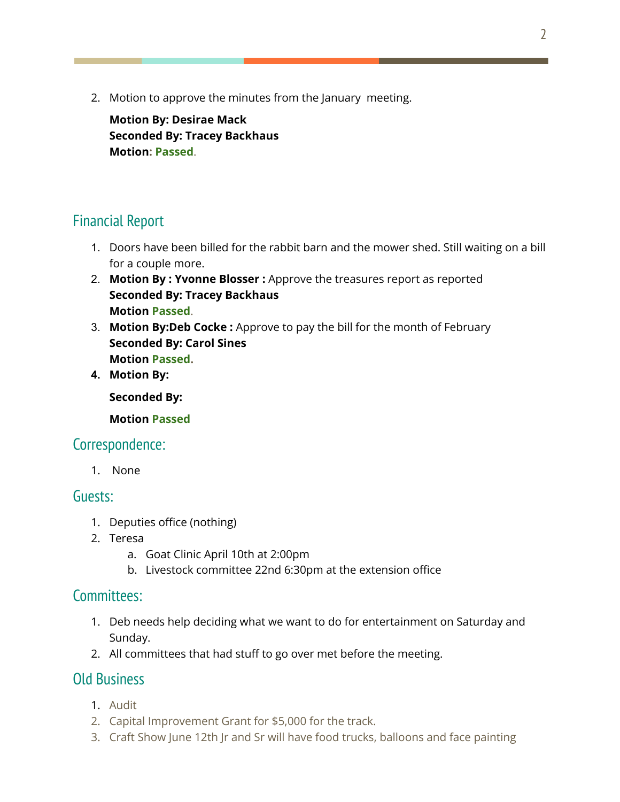2. Motion to approve the minutes from the January meeting.

**Motion By: Desirae Mack Seconded By: Tracey Backhaus Motion: Passed**.

## Financial Report

- 1. Doors have been billed for the rabbit barn and the mower shed. Still waiting on a bill for a couple more.
- 2. **Motion By : Yvonne Blosser :** Approve the treasures report as reported **Seconded By: Tracey Backhaus Motion Passed**.
- 3. **Motion By:Deb Cocke :** Approve to pay the bill for the month of February **Seconded By: Carol Sines Motion Passed.**
- **4. Motion By:**

**Seconded By:**

**Motion Passed**

## Correspondence:

1. None

#### Guests:

- 1. Deputies office (nothing)
- 2. Teresa
	- a. Goat Clinic April 10th at 2:00pm
	- b. Livestock committee 22nd 6:30pm at the extension office

#### Committees:

- 1. Deb needs help deciding what we want to do for entertainment on Saturday and Sunday.
- 2. All committees that had stuff to go over met before the meeting.

## Old Business

- 1. Audit
- 2. Capital Improvement Grant for \$5,000 for the track.
- 3. Craft Show June 12th Jr and Sr will have food trucks, balloons and face painting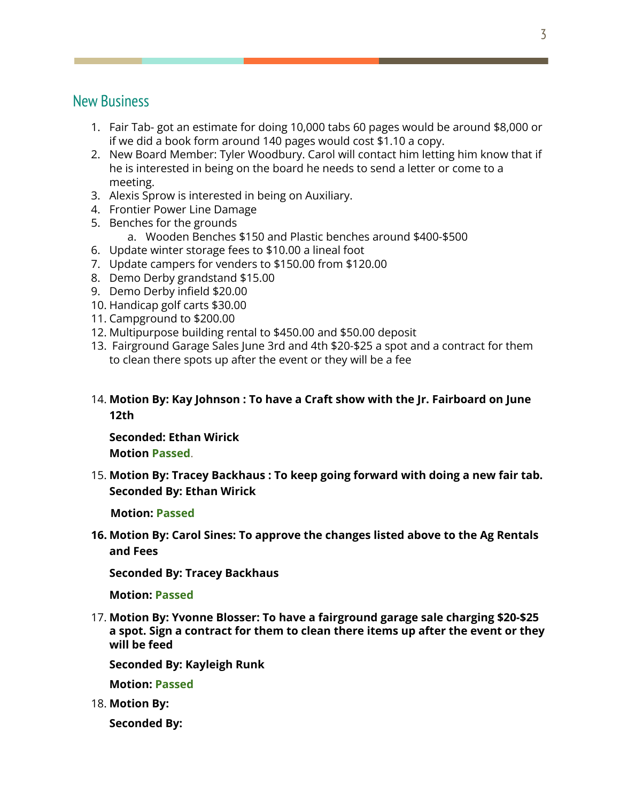#### New Business

- 1. Fair Tab- got an estimate for doing 10,000 tabs 60 pages would be around \$8,000 or if we did a book form around 140 pages would cost \$1.10 a copy.
- 2. New Board Member: Tyler Woodbury. Carol will contact him letting him know that if he is interested in being on the board he needs to send a letter or come to a meeting.
- 3. Alexis Sprow is interested in being on Auxiliary.
- 4. Frontier Power Line Damage
- 5. Benches for the grounds
	- a. Wooden Benches \$150 and Plastic benches around \$400-\$500
- 6. Update winter storage fees to \$10.00 a lineal foot
- 7. Update campers for venders to \$150.00 from \$120.00
- 8. Demo Derby grandstand \$15.00
- 9. Demo Derby infield \$20.00
- 10. Handicap golf carts \$30.00
- 11. Campground to \$200.00
- 12. Multipurpose building rental to \$450.00 and \$50.00 deposit
- 13. Fairground Garage Sales June 3rd and 4th \$20-\$25 a spot and a contract for them to clean there spots up after the event or they will be a fee
- 14. **Motion By: Kay Johnson : To have a Craft show with the Jr. Fairboard on June 12th**

**Seconded: Ethan Wirick Motion Passed**.

15. **Motion By: Tracey Backhaus : To keep going forward with doing a new fair tab. Seconded By: Ethan Wirick**

**Motion: Passed**

**16. Motion By: Carol Sines: To approve the changes listed above to the Ag Rentals and Fees**

**Seconded By: Tracey Backhaus**

**Motion: Passed**

17. **Motion By: Yvonne Blosser: To have a fairground garage sale charging \$20-\$25 a spot. Sign a contract for them to clean there items up after the event or they will be feed**

**Seconded By: Kayleigh Runk**

**Motion: Passed**

18. **Motion By:**

**Seconded By:**